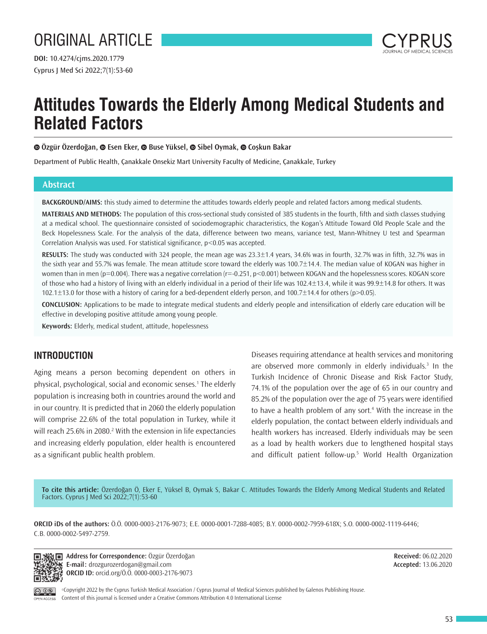

# **Attitudes Towards the Elderly Among Medical Students and Related Factors**

**Özgür Özerdoğan, Esen Eker, Buse Yüksel, Sibel Oymak,Coşkun Bakar**

Department of Public Health, Çanakkale Onsekiz Mart University Faculty of Medicine, Çanakkale, Turkey

## **Abstract**

**BACKGROUND/AIMS:** this study aimed to determine the attitudes towards elderly people and related factors among medical students.

**MATERIALS AND METHODS:** The population of this cross-sectional study consisted of 385 students in the fourth, fifth and sixth classes studying at a medical school. The questionnaire consisted of sociodemographic characteristics, the Kogan's Attitude Toward Old People Scale and the Beck Hopelessness Scale. For the analysis of the data, difference between two means, variance test, Mann-Whitney U test and Spearman Correlation Analysis was used. For statistical significance, p<0.05 was accepted.

**RESULTS:** The study was conducted with 324 people, the mean age was 23.3±1.4 years, 34.6% was in fourth, 32.7% was in fifth, 32.7% was in the sixth year and 55.7% was female. The mean attitude score toward the elderly was 100.7±14.4. The median value of KOGAN was higher in women than in men (p=0.004). There was a negative correlation (r=-0.251, p<0.001) between KOGAN and the hopelessness scores. KOGAN score of those who had a history of living with an elderly individual in a period of their life was 102.4±13.4, while it was 99.9±14.8 for others. It was 102.1±13.0 for those with a history of caring for a bed-dependent elderly person, and 100.7±14.4 for others (p>0.05).

**CONCLUSION:** Applications to be made to integrate medical students and elderly people and intensification of elderly care education will be effective in developing positive attitude among young people.

**Keywords:** Elderly, medical student, attitude, hopelessness

## **INTRODUCTION**

Aging means a person becoming dependent on others in physical, psychological, social and economic senses.1 The elderly population is increasing both in countries around the world and in our country. It is predicted that in 2060 the elderly population will comprise 22.6% of the total population in Turkey, while it will reach 25.6% in 2080.<sup>2</sup> With the extension in life expectancies and increasing elderly population, elder health is encountered as a significant public health problem.

Diseases requiring attendance at health services and monitoring are observed more commonly in elderly individuals.3 In the Turkish Incidence of Chronic Disease and Risk Factor Study, 74.1% of the population over the age of 65 in our country and 85.2% of the population over the age of 75 years were identified to have a health problem of any sort.<sup>4</sup> With the increase in the elderly population, the contact between elderly individuals and health workers has increased. Elderly individuals may be seen as a load by health workers due to lengthened hospital stays and difficult patient follow-up.5 World Health Organization

**To cite this article:** Özerdoğan Ö, Eker E, Yüksel B, Oymak S, Bakar C. Attitudes Towards the Elderly Among Medical Students and Related Factors. Cyprus J Med Sci 2022;7(1):53-60

**ORCID iDs of the authors:** Ö.Ö. 0000-0003-2176-9073; E.E. 0000-0001-7288-4085; B.Y. 0000-0002-7959-618X; S.O. 0000-0002-1119-6446; C.B. 0000-0002-5497-2759.



OPEN ACCESS

**Address for Correspondence:** Özgür Özerdoğan **E-mail:** drozgurozerdogan@gmail.com **ORCID ID:** orcid.org/Ö.Ö. 0000-0003-2176-9073

**Received:** 06.02.2020 **Accepted:** 13.06.2020

©Copyright 2022 by the Cyprus Turkish Medical Association / Cyprus Journal of Medical Sciences published by Galenos Publishing House. Content of this journal is licensed under a Creative Commons Attribution 4.0 International License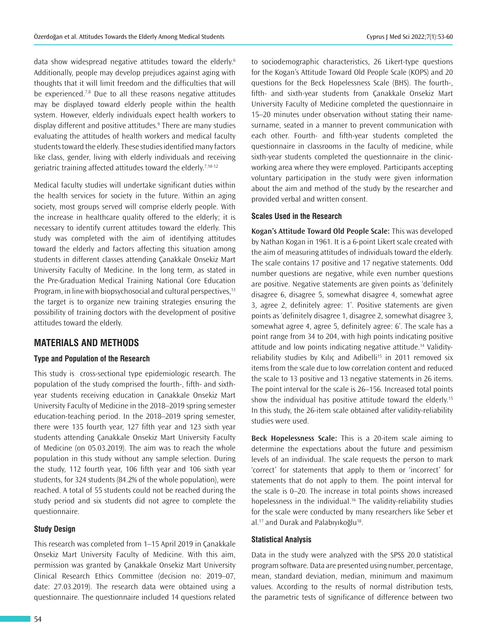data show widespread negative attitudes toward the elderly.<sup>6</sup> Additionally, people may develop prejudices against aging with thoughts that it will limit freedom and the difficulties that will be experienced.<sup>7,8</sup> Due to all these reasons negative attitudes may be displayed toward elderly people within the health system. However, elderly individuals expect health workers to display different and positive attitudes.<sup>9</sup> There are many studies evaluating the attitudes of health workers and medical faculty students toward the elderly. These studies identified many factors like class, gender, living with elderly individuals and receiving geriatric training affected attitudes toward the elderly.7,10-12

Medical faculty studies will undertake significant duties within the health services for society in the future. Within an aging society, most groups served will comprise elderly people. With the increase in healthcare quality offered to the elderly; it is necessary to identify current attitudes toward the elderly. This study was completed with the aim of identifying attitudes toward the elderly and factors affecting this situation among students in different classes attending Çanakkale Onsekiz Mart University Faculty of Medicine. In the long term, as stated in the Pre-Graduation Medical Training National Core Education Program, in line with biopsychosocial and cultural perspectives, $13$ the target is to organize new training strategies ensuring the possibility of training doctors with the development of positive attitudes toward the elderly.

## **MATERIALS AND METHODS**

#### **Type and Population of the Research**

This study is cross-sectional type epidemiologic research. The population of the study comprised the fourth-, fifth- and sixthyear students receiving education in Çanakkale Onsekiz Mart University Faculty of Medicine in the 2018–2019 spring semester education-teaching period. In the 2018–2019 spring semester, there were 135 fourth year, 127 fifth year and 123 sixth year students attending Çanakkale Onsekiz Mart University Faculty of Medicine (on 05.03.2019). The aim was to reach the whole population in this study without any sample selection. During the study, 112 fourth year, 106 fifth year and 106 sixth year students, for 324 students (84.2% of the whole population), were reached. A total of 55 students could not be reached during the study period and six students did not agree to complete the questionnaire.

#### **Study Design**

This research was completed from 1–15 April 2019 in Çanakkale Onsekiz Mart University Faculty of Medicine. With this aim, permission was granted by Çanakkale Onsekiz Mart University Clinical Research Ethics Committee (decision no: 2019–07, date: 27.03.2019). The research data were obtained using a questionnaire. The questionnaire included 14 questions related

to sociodemographic characteristics, 26 Likert-type questions for the Kogan's Attitude Toward Old People Scale (KOPS) and 20 questions for the Beck Hopelessness Scale (BHS). The fourth-, fifth- and sixth-year students from Çanakkale Onsekiz Mart University Faculty of Medicine completed the questionnaire in 15–20 minutes under observation without stating their namesurname, seated in a manner to prevent communication with each other. Fourth- and fifth-year students completed the questionnaire in classrooms in the faculty of medicine, while sixth-year students completed the questionnaire in the clinicworking area where they were employed. Participants accepting voluntary participation in the study were given information about the aim and method of the study by the researcher and provided verbal and written consent.

#### **Scales Used in the Research**

**Kogan's Attitude Toward Old People Scale:** This was developed by Nathan Kogan in 1961. It is a 6-point Likert scale created with the aim of measuring attitudes of individuals toward the elderly. The scale contains 17 positive and 17 negative statements. Odd number questions are negative, while even number questions are positive. Negative statements are given points as 'definitely disagree 6, disagree 5, somewhat disagree 4, somewhat agree 3, agree 2, definitely agree: 1'. Positive statements are given points as 'definitely disagree 1, disagree 2, somewhat disagree 3, somewhat agree 4, agree 5, definitely agree: 6'. The scale has a point range from 34 to 204, with high points indicating positive attitude and low points indicating negative attitude.14 Validityreliability studies by Kılıç and Adibelli<sup>15</sup> in 2011 removed six items from the scale due to low correlation content and reduced the scale to 13 positive and 13 negative statements in 26 items. The point interval for the scale is 26–156. Increased total points show the individual has positive attitude toward the elderly.<sup>15</sup> In this study, the 26-item scale obtained after validity-reliability studies were used.

**Beck Hopelessness Scale:** This is a 20-item scale aiming to determine the expectations about the future and pessimism levels of an individual. The scale requests the person to mark 'correct' for statements that apply to them or 'incorrect' for statements that do not apply to them. The point interval for the scale is 0–20. The increase in total points shows increased hopelessness in the individual.<sup>16</sup> The validity-reliability studies for the scale were conducted by many researchers like Seber et al.<sup>17</sup> and Durak and Palabıyıkoğlu<sup>18</sup>.

#### **Statistical Analysis**

Data in the study were analyzed with the SPSS 20.0 statistical program software. Data are presented using number, percentage, mean, standard deviation, median, minimum and maximum values. According to the results of normal distribution tests, the parametric tests of significance of difference between two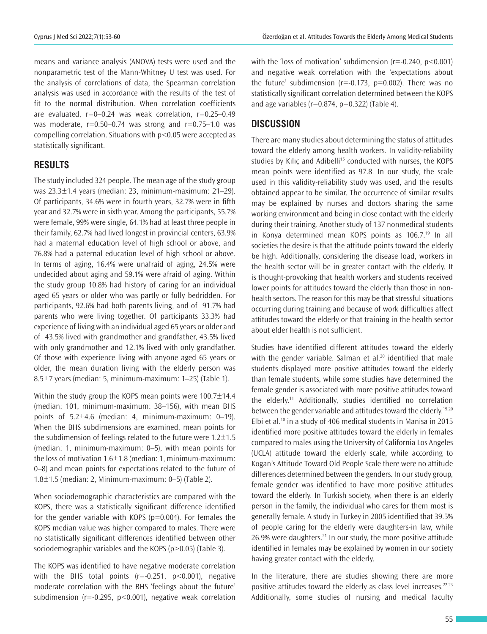means and variance analysis (ANOVA) tests were used and the nonparametric test of the Mann-Whitney U test was used. For the analysis of correlations of data, the Spearman correlation analysis was used in accordance with the results of the test of fit to the normal distribution. When correlation coefficients are evaluated,  $r=0$ –0.24 was weak correlation,  $r=0.25-0.49$ was moderate,  $r=0.50-0.74$  was strong and  $r=0.75-1.0$  was compelling correlation. Situations with p<0.05 were accepted as statistically significant.

## **RESULTS**

The study included 324 people. The mean age of the study group was 23.3±1.4 years (median: 23, minimum-maximum: 21–29). Of participants, 34.6% were in fourth years, 32.7% were in fifth year and 32.7% were in sixth year. Among the participants, 55.7% were female, 99% were single, 64.1% had at least three people in their family, 62.7% had lived longest in provincial centers, 63.9% had a maternal education level of high school or above, and 76.8% had a paternal education level of high school or above. In terms of aging, 16.4% were unafraid of aging, 24.5% were undecided about aging and 59.1% were afraid of aging. Within the study group 10.8% had history of caring for an individual aged 65 years or older who was partly or fully bedridden. For participants, 92.6% had both parents living, and of 91.7% had parents who were living together. Of participants 33.3% had experience of living with an individual aged 65 years or older and of 43.5% lived with grandmother and grandfather, 43.5% lived with only grandmother and 12.1% lived with only grandfather. Of those with experience living with anyone aged 65 years or older, the mean duration living with the elderly person was 8.5±7 years (median: 5, minimum-maximum: 1–25) (Table 1).

Within the study group the KOPS mean points were 100.7±14.4 (median: 101, minimum-maximum: 38–156), with mean BHS points of 5.2±4.6 (median: 4, minimum-maximum: 0–19). When the BHS subdimensions are examined, mean points for the subdimension of feelings related to the future were  $1.2 \pm 1.5$ (median: 1, minimum-maximum: 0–5), with mean points for the loss of motivation 1.6±1.8 (median: 1, minimum-maximum: 0–8) and mean points for expectations related to the future of 1.8±1.5 (median: 2, Minimum-maximum: 0–5) (Table 2).

When sociodemographic characteristics are compared with the KOPS, there was a statistically significant difference identified for the gender variable with KOPS ( $p=0.004$ ). For females the KOPS median value was higher compared to males. There were no statistically significant differences identified between other sociodemographic variables and the KOPS (p>0.05) (Table 3).

The KOPS was identified to have negative moderate correlation with the BHS total points  $(r=-0.251, p<0.001)$ , negative moderate correlation with the BHS 'feelings about the future' subdimension ( $r = -0.295$ ,  $p < 0.001$ ), negative weak correlation

with the 'loss of motivation' subdimension ( $r = -0.240$ ,  $p < 0.001$ ) and negative weak correlation with the 'expectations about the future' subdimension ( $r = -0.173$ ,  $p = 0.002$ ). There was no statistically significant correlation determined between the KOPS and age variables ( $r=0.874$ ,  $p=0.322$ ) (Table 4).

## **DISCUSSION**

There are many studies about determining the status of attitudes toward the elderly among health workers. In validity-reliability studies by Kılıç and Adibelli<sup>15</sup> conducted with nurses, the KOPS mean points were identified as 97.8. In our study, the scale used in this validity-reliability study was used, and the results obtained appear to be similar. The occurrence of similar results may be explained by nurses and doctors sharing the same working environment and being in close contact with the elderly during their training. Another study of 137 nonmedical students in Konya determined mean KOPS points as 106.7.<sup>19</sup> In all societies the desire is that the attitude points toward the elderly be high. Additionally, considering the disease load, workers in the health sector will be in greater contact with the elderly. It is thought-provoking that health workers and students received lower points for attitudes toward the elderly than those in nonhealth sectors. The reason for this may be that stressful situations occurring during training and because of work difficulties affect attitudes toward the elderly or that training in the health sector about elder health is not sufficient.

Studies have identified different attitudes toward the elderly with the gender variable. Salman et al.<sup>20</sup> identified that male students displayed more positive attitudes toward the elderly than female students, while some studies have determined the female gender is associated with more positive attitudes toward the elderly.11 Additionally, studies identified no correlation between the gender variable and attitudes toward the elderly.19,20 Elbi et al.<sup>10</sup> in a study of 406 medical students in Manisa in 2015 identified more positive attitudes toward the elderly in females compared to males using the University of California Los Angeles (UCLA) attitude toward the elderly scale, while according to Kogan's Attitude Toward Old People Scale there were no attitude differences determined between the genders. In our study group, female gender was identified to have more positive attitudes toward the elderly. In Turkish society, when there is an elderly person in the family, the individual who cares for them most is generally female. A study in Turkey in 2005 identified that 39.5% of people caring for the elderly were daughters-in law, while 26.9% were daughters.<sup>21</sup> In our study, the more positive attitude identified in females may be explained by women in our society having greater contact with the elderly.

In the literature, there are studies showing there are more positive attitudes toward the elderly as class level increases. $22,23$ Additionally, some studies of nursing and medical faculty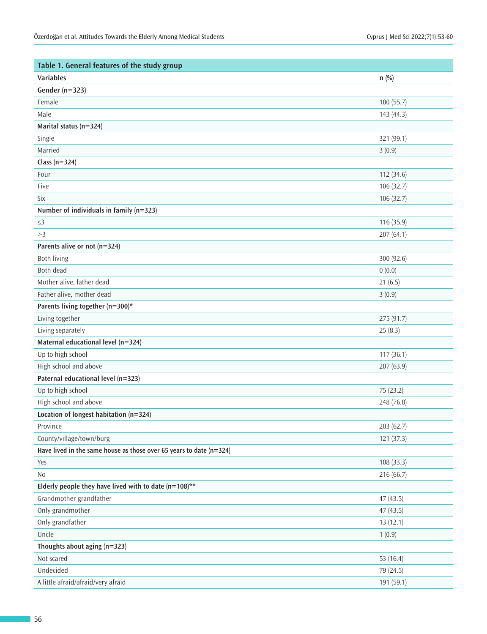| Table 1. General features of the study group                            |             |  |  |
|-------------------------------------------------------------------------|-------------|--|--|
| <b>Variables</b>                                                        | $n$ (%)     |  |  |
| Gender ( $n=323$ )                                                      |             |  |  |
| Female                                                                  | 180 (55.7)  |  |  |
| Male                                                                    | 143 (44.3)  |  |  |
| Marital status (n=324)                                                  |             |  |  |
| Single                                                                  | 321 (99.1)  |  |  |
| Married                                                                 | 3(0.9)      |  |  |
| Class ( $n=324$ )                                                       |             |  |  |
| Four                                                                    | 112 (34.6)  |  |  |
| Five                                                                    | 106 (32.7)  |  |  |
| Six                                                                     | 106 (32.7)  |  |  |
| Number of individuals in family (n=323)                                 |             |  |  |
| $\leq$ 3                                                                | 116 (35.9)  |  |  |
| >3                                                                      | 207(64.1)   |  |  |
| Parents alive or not (n=324)                                            |             |  |  |
| <b>Both living</b>                                                      | 300 (92.6)  |  |  |
| Both dead                                                               | 0(0.0)      |  |  |
| Mother alive, father dead                                               | 21(6.5)     |  |  |
| Father alive, mother dead                                               | 3(0.9)      |  |  |
| Parents living together (n=300)*                                        |             |  |  |
| Living together                                                         | 275 (91.7)  |  |  |
| Living separately                                                       | 25(8.3)     |  |  |
| Maternal educational level (n=324)                                      |             |  |  |
| Up to high school                                                       | 117(36.1)   |  |  |
| High school and above                                                   | 207 (63.9)  |  |  |
| Paternal educational level (n=323)                                      |             |  |  |
| Up to high school                                                       | 75 (23.2)   |  |  |
| High school and above                                                   | 248 (76.8)  |  |  |
| Location of longest habitation (n=324)                                  |             |  |  |
| Province                                                                | 203 (62.7)  |  |  |
| County/village/town/burg                                                | 121(37.3)   |  |  |
| Have lived in the same house as those over 65 years to date ( $n=324$ ) |             |  |  |
| Yes                                                                     | 108 (33.3)  |  |  |
| No                                                                      | 216 (66.7)  |  |  |
| Elderly people they have lived with to date $(n=108)$ **                |             |  |  |
| Grandmother-grandfather                                                 | 47 (43.5)   |  |  |
| Only grandmother                                                        | 47(43.5)    |  |  |
| Only grandfather                                                        | 13(12.1)    |  |  |
| Uncle                                                                   | 1(0.9)      |  |  |
| Thoughts about aging (n=323)                                            |             |  |  |
| Not scared                                                              | 53 $(16.4)$ |  |  |
| Undecided                                                               | 79 (24.5)   |  |  |
| A little afraid/afraid/very afraid                                      | 191 (59.1)  |  |  |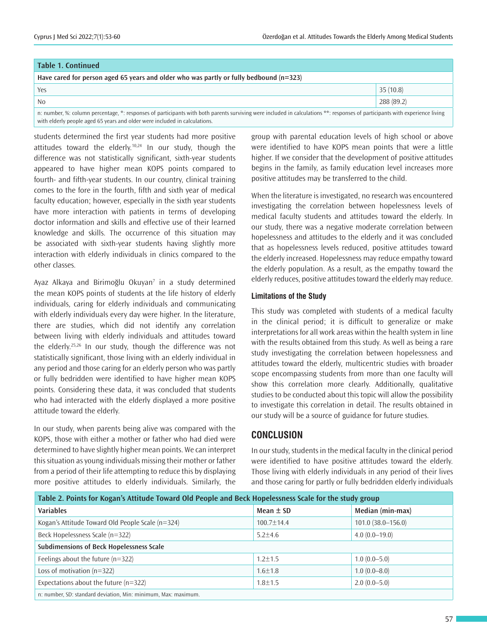| <b>Table 1. Continued</b>                                                                                                                                                    |            |  |  |
|------------------------------------------------------------------------------------------------------------------------------------------------------------------------------|------------|--|--|
| Have cared for person aged 65 years and older who was partly or fully bedbound ( $n=323$ )                                                                                   |            |  |  |
| Yes                                                                                                                                                                          | 35(10.8)   |  |  |
| No                                                                                                                                                                           | 288 (89.2) |  |  |
| n: number, %: column percentage, *: responses of participants with both parents surviving were included in calculations **: responses of participants with experience living |            |  |  |

n: number, %: column percentage, \*: responses of participants with both parents surviving were included in calculations \*\*: responses of participants with experience living with elderly people aged 65 years and older were included in calculations.

students determined the first year students had more positive attitudes toward the elderly.<sup>10,24</sup> In our study, though the difference was not statistically significant, sixth-year students appeared to have higher mean KOPS points compared to fourth- and fifth-year students. In our country, clinical training comes to the fore in the fourth, fifth and sixth year of medical faculty education; however, especially in the sixth year students have more interaction with patients in terms of developing doctor information and skills and effective use of their learned knowledge and skills. The occurrence of this situation may be associated with sixth-year students having slightly more interaction with elderly individuals in clinics compared to the other classes.

Ayaz Alkaya and Birimoğlu Okuyan<sup>7</sup> in a study determined the mean KOPS points of students at the life history of elderly individuals, caring for elderly individuals and communicating with elderly individuals every day were higher. In the literature, there are studies, which did not identify any correlation between living with elderly individuals and attitudes toward the elderly.25,26 In our study, though the difference was not statistically significant, those living with an elderly individual in any period and those caring for an elderly person who was partly or fully bedridden were identified to have higher mean KOPS points. Considering these data, it was concluded that students who had interacted with the elderly displayed a more positive attitude toward the elderly.

In our study, when parents being alive was compared with the KOPS, those with either a mother or father who had died were determined to have slightly higher mean points. We can interpret this situation as young individuals missing their mother or father from a period of their life attempting to reduce this by displaying more positive attitudes to elderly individuals. Similarly, the

group with parental education levels of high school or above were identified to have KOPS mean points that were a little higher. If we consider that the development of positive attitudes begins in the family, as family education level increases more positive attitudes may be transferred to the child.

When the literature is investigated, no research was encountered investigating the correlation between hopelessness levels of medical faculty students and attitudes toward the elderly. In our study, there was a negative moderate correlation between hopelessness and attitudes to the elderly and it was concluded that as hopelessness levels reduced, positive attitudes toward the elderly increased. Hopelessness may reduce empathy toward the elderly population. As a result, as the empathy toward the elderly reduces, positive attitudes toward the elderly may reduce.

## **Limitations of the Study**

This study was completed with students of a medical faculty in the clinical period; it is difficult to generalize or make interpretations for all work areas within the health system in line with the results obtained from this study. As well as being a rare study investigating the correlation between hopelessness and attitudes toward the elderly, multicentric studies with broader scope encompassing students from more than one faculty will show this correlation more clearly. Additionally, qualitative studies to be conducted about this topic will allow the possibility to investigate this correlation in detail. The results obtained in our study will be a source of guidance for future studies.

# **CONCLUSION**

In our study, students in the medical faculty in the clinical period were identified to have positive attitudes toward the elderly. Those living with elderly individuals in any period of their lives and those caring for partly or fully bedridden elderly individuals

| Table 2. Points for Kogan's Attitude Toward Old People and Beck Hopelessness Scale for the study group |                  |                       |  |  |
|--------------------------------------------------------------------------------------------------------|------------------|-----------------------|--|--|
| <b>Variables</b>                                                                                       | Mean $\pm$ SD    | Median (min-max)      |  |  |
| Kogan's Attitude Toward Old People Scale (n=324)                                                       | $100.7 \pm 14.4$ | $101.0(38.0 - 156.0)$ |  |  |
| Beck Hopelessness Scale (n=322)                                                                        | $5.2 + 4.6$      | $4.0(0.0-19.0)$       |  |  |
| Subdimensions of Beck Hopelessness Scale                                                               |                  |                       |  |  |
| Feelings about the future $(n=322)$                                                                    | $1.2 \pm 1.5$    | $1.0(0.0-5.0)$        |  |  |
| Loss of motivation $(n=322)$                                                                           | $1.6 \pm 1.8$    | $1.0(0.0-8.0)$        |  |  |
| Expectations about the future $(n=322)$                                                                | $1.8 \pm 1.5$    | $2.0(0.0-5.0)$        |  |  |
| n: number, SD: standard deviation, Min: minimum, Max: maximum.                                         |                  |                       |  |  |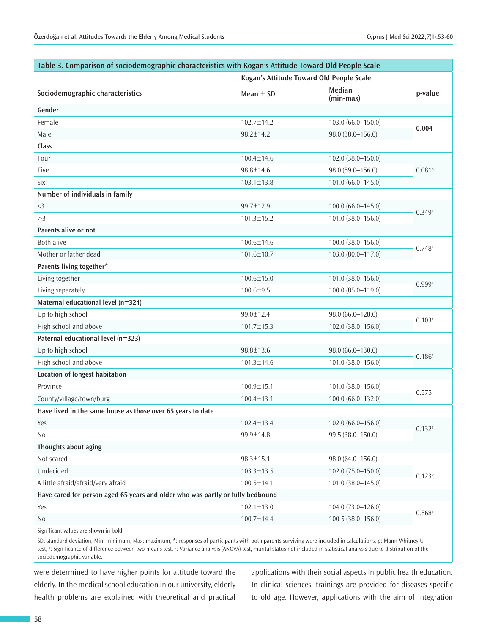| Table 3. Comparison of sociodemographic characteristics with Kogan's Attitude Toward Old People Scale |                                          |                        |                      |
|-------------------------------------------------------------------------------------------------------|------------------------------------------|------------------------|----------------------|
|                                                                                                       | Kogan's Attitude Toward Old People Scale |                        |                      |
| Sociodemographic characteristics                                                                      | Mean $\pm$ SD                            | Median<br>$(min-max)$  | p-value              |
| Gender                                                                                                |                                          |                        |                      |
| Female                                                                                                | $102.7 \pm 14.2$                         | $103.0 (66.0 - 150.0)$ | 0.004                |
| Male                                                                                                  | $98.2 \pm 14.2$                          | 98.0 (38.0-156.0)      |                      |
| Class                                                                                                 |                                          |                        |                      |
| Four                                                                                                  | $100.4 \pm 14.6$                         | 102.0 (38.0-150.0)     |                      |
| Five                                                                                                  | $98.8 \pm 14.6$                          | 98.0 (59.0-156.0)      | 0.081 <sup>b</sup>   |
| <b>Six</b>                                                                                            | $103.1 \pm 13.8$                         | 101.0 (66.0-145.0)     |                      |
| Number of individuals in family                                                                       |                                          |                        |                      |
| $\leq$ 3                                                                                              | 99.7±12.9                                | $100.0 (66.0 - 145.0)$ | 0.349a               |
| >3                                                                                                    | $101.3 \pm 15.2$                         | 101.0 (38.0-156.0)     |                      |
| <b>Parents alive or not</b>                                                                           |                                          |                        |                      |
| <b>Both alive</b>                                                                                     | $100.6 \pm 14.6$                         | 100.0 (38.0-156.0)     | $0.748$ <sup>a</sup> |
| Mother or father dead                                                                                 | $101.6 \pm 10.7$                         | 103.0 (80.0-117.0)     |                      |
| Parents living together*                                                                              |                                          |                        |                      |
| Living together                                                                                       | $100.6 \pm 15.0$                         | 101.0 (38.0-156.0)     |                      |
| Living separately                                                                                     | $100.6 \pm 9.5$                          | 100.0 (85.0-119.0)     | 0.999a               |
| Maternal educational level (n=324)                                                                    |                                          |                        |                      |
| Up to high school                                                                                     | 99.0±12.4                                | 98.0 (66.0-128.0)      | $0.103^{a}$          |
| High school and above                                                                                 | 101.7±15.3                               | 102.0 (38.0-156.0)     |                      |
| Paternal educational level (n=323)                                                                    |                                          |                        |                      |
| Up to high school                                                                                     | 98.8±13.6                                | 98.0 (66.0-130.0)      |                      |
| High school and above                                                                                 | $101.3 \pm 14.6$                         | 101.0 (38.0-156.0)     | $0.186^{a}$          |
| Location of longest habitation                                                                        |                                          |                        |                      |
| Province                                                                                              | $100.9 \pm 15.1$                         | 101.0 (38.0-156.0)     |                      |
| County/village/town/burg                                                                              | $100.4 \pm 13.1$                         | $100.0 (66.0 - 132.0)$ | 0.575                |
| Have lived in the same house as those over 65 years to date                                           |                                          |                        |                      |
| Yes                                                                                                   | $102.4 \pm 13.4$                         | 102.0 (66.0-156.0)     | $0.132^{a}$          |
| N <sub>0</sub>                                                                                        | 99.9±14.8                                | 99.5 (38.0-150.0)      |                      |
| Thoughts about aging                                                                                  |                                          |                        |                      |
| Not scared                                                                                            | $98.3 \pm 15.1$                          | 98.0 (64.0-156.0)      |                      |
| Undecided                                                                                             | $103.3 \pm 13.5$                         | 102.0 (75.0-150.0)     | $0.123^{b}$          |
| A little afraid/afraid/very afraid                                                                    | $100.5 \pm 14.1$                         | 101.0 (38.0-145.0)     |                      |
| Have cared for person aged 65 years and older who was partly or fully bedbound                        |                                          |                        |                      |
| Yes                                                                                                   | $102.1 \pm 13.0$                         | 104.0 (73.0-126.0)     | $0.568$ <sup>a</sup> |
| No                                                                                                    | 100.7±14.4                               | $100.5(38.0 - 156.0)$  |                      |

Significant values are shown in bold.

SD: standard deviation, Min: minimum, Max: maximum, \*: responses of participants with both parents surviving were included in calculations, p: Mann-Whitney U test, ª: Significance of difference between two means test, ʰ: Variance analysis (ANOVA) test, marital status not included in statistical analysis due to distribution of the sociodemographic variable.

were determined to have higher points for attitude toward the elderly. In the medical school education in our university, elderly health problems are explained with theoretical and practical

applications with their social aspects in public health education. In clinical sciences, trainings are provided for diseases specific to old age. However, applications with the aim of integration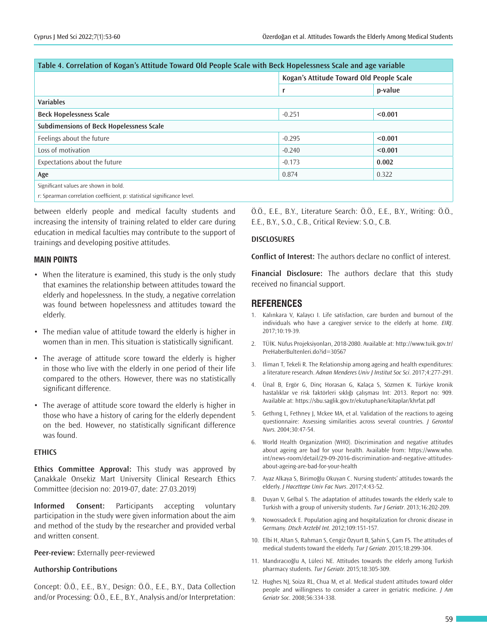| Table 4. Correlation of Kogan's Attitude Toward Old People Scale with Beck Hopelessness Scale and age variable |                                          |         |  |
|----------------------------------------------------------------------------------------------------------------|------------------------------------------|---------|--|
|                                                                                                                | Kogan's Attitude Toward Old People Scale |         |  |
|                                                                                                                | r                                        | p-value |  |
| <b>Variables</b>                                                                                               |                                          |         |  |
| <b>Beck Hopelessness Scale</b>                                                                                 | $-0.251$                                 | < 0.001 |  |
| <b>Subdimensions of Beck Hopelessness Scale</b>                                                                |                                          |         |  |
| Feelings about the future                                                                                      | $-0.295$                                 | < 0.001 |  |
| Loss of motivation                                                                                             | $-0.240$                                 | < 0.001 |  |
| Expectations about the future                                                                                  | $-0.173$                                 | 0.002   |  |
| Age                                                                                                            | 0.874                                    | 0.322   |  |
| Significant values are shown in bold.                                                                          |                                          |         |  |

r: Spearman correlation coefficient, p: statistical significance level.

between elderly people and medical faculty students and increasing the intensity of training related to elder care during education in medical faculties may contribute to the support of trainings and developing positive attitudes.

## **MAIN POINTS**

- When the literature is examined, this study is the only study that examines the relationship between attitudes toward the elderly and hopelessness. In the study, a negative correlation was found between hopelessness and attitudes toward the elderly.
- The median value of attitude toward the elderly is higher in women than in men. This situation is statistically significant.
- The average of attitude score toward the elderly is higher in those who live with the elderly in one period of their life compared to the others. However, there was no statistically significant difference.
- The average of attitude score toward the elderly is higher in those who have a history of caring for the elderly dependent on the bed. However, no statistically significant difference was found.

#### **ETHICS**

**Ethics Committee Approval:** This study was approved by Çanakkale Onsekiz Mart University Clinical Research Ethics Committee (decision no: 2019-07, date: 27.03.2019)

**Informed Consent:** Participants accepting voluntary participation in the study were given information about the aim and method of the study by the researcher and provided verbal and written consent.

#### **Peer-review:** Externally peer-reviewed

## **Authorship Contributions**

Concept: Ö.Ö., E.E., B.Y., Design: Ö.Ö., E.E., B.Y., Data Collection and/or Processing: Ö.Ö., E.E., B.Y., Analysis and/or Interpretation: Ö.Ö., E.E., B.Y., Literature Search: Ö.Ö., E.E., B.Y., Writing: Ö.Ö., E.E., B.Y., S.O., C.B., Critical Review: S.O., C.B.

## **DISCLOSURES**

**Conflict of Interest:** The authors declare no conflict of interest.

**Financial Disclosure:** The authors declare that this study received no financial support.

## **REFERENCES**

- 1. Kalınkara V, Kalaycı I. Life satisfaction, care burden and burnout of the individuals who have a caregiver service to the elderly at home. *EIRJ*. 2017;10:19-39.
- 2. TÜİK. Nüfus Projeksiyonları, 2018-2080. Available at: http://www.tuik.gov.tr/ PreHaberBultenleri.do?id=30567
- 3. Iliman T, Tekeli R. The Relationship among ageing and health expenditures: a literature research. *Adnan Menderes Univ J Institut Soc Sci*. 2017;4:277-291.
- 4. Ünal B, Ergör G, Dinç Horasan G, Kalaça S, Sözmen K. Türkiye kronik hastalıklar ve risk faktörleri sıklığı çalışması Int: 2013. Report no: 909. Available at: https://sbu.saglik.gov.tr/ekutuphane/kitaplar/khrfat.pdf
- 5. Gethıng L, Fethney J, Mckee MA, et al. Validation of the reactions to ageing questionnaire: Assessing similarities across several countries. *J Gerontol Nurs.* 2004;30:47-54.
- 6. World Health Organization (WHO). Discrimination and negative attitudes about ageing are bad for your health. Available from: https://www.who. int/news-room/detail/29-09-2016-discrimination-and-negative-attitudesabout-ageing-are-bad-for-your-health
- 7. Ayaz Alkaya S, Birimoğlu Okuyan C. Nursing students' attitudes towards the elderly. J Hacettepe Univ Fac Nurs. 2017;4:43-52.
- 8. Duyan V, Gelbal S. The adaptation of attitudes towards the elderly scale to Turkish with a group of university students. *Tur J Geriatr*. 2013;16:202-209.
- 9. Nowossadeck E. Population aging and hospitalization for chronic disease in Germany. *Dtsch Arztebl Int.* 2012;109:151-157.
- 10. Elbi H, Altan S, Rahman S, Cengiz Özyurt B, Şahin S, Çam FS. The attitudes of medical students toward the elderly. *Tur J Geriatr.* 2015;18:299-304.
- 11. Mandıracıoğlu A, Lüleci NE. Attitudes towards the elderly among Turkish pharmacy students. *Tur J Geriatr.* 2015;18:305-309.
- 12. Hughes NJ, Soiza RL, Chua M, et al. Medical student attitudes toward older people and willingness to consider a career in geriatric medicine. *J Am Geriatr Soc.* 2008;56:334-338.